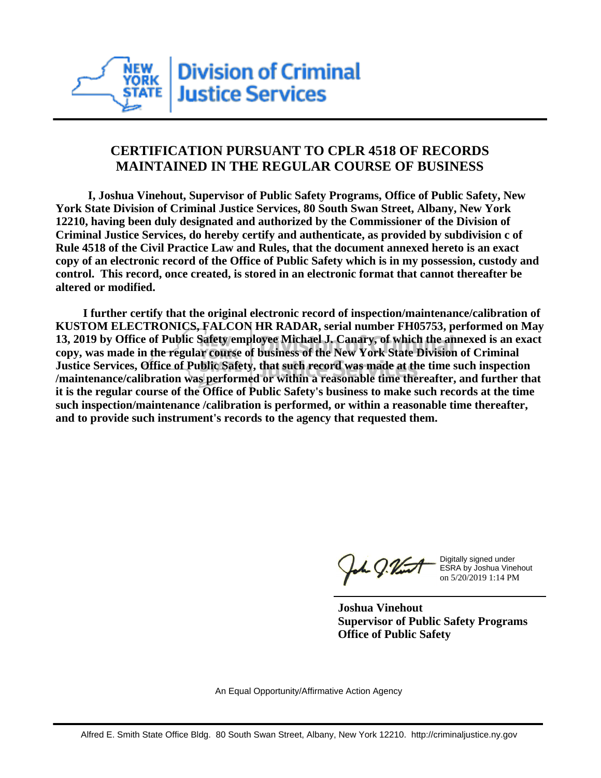

## **CERTIFICATION PURSUANT TO CPLR 4518 OF RECORDS MAINTAINED IN THE REGULAR COURSE OF BUSINESS**

 **I, Joshua Vinehout, Supervisor of Public Safety Programs, Office of Public Safety, New York State Division of Criminal Justice Services, 80 South Swan Street, Albany, New York 12210, having been duly designated and authorized by the Commissioner of the Division of Criminal Justice Services, do hereby certify and authenticate, as provided by subdivision c of Rule 4518 of the Civil Practice Law and Rules, that the document annexed hereto is an exact copy of an electronic record of the Office of Public Safety which is in my possession, custody and control. This record, once created, is stored in an electronic format that cannot thereafter be altered or modified.**

 **I further certify that the original electronic record of inspection/maintenance/calibration of KUSTOM ELECTRONICS, FALCON HR RADAR, serial number FH05753, performed on May 13, 2019 by Office of Public Safety employee Michael J. Canary, of which the annexed is an exact copy, was made in the regular course of business of the New York State Division of Criminal Justice Services, Office of Public Safety, that such record was made at the time such inspection /maintenance/calibration was performed or within a reasonable time thereafter, and further that it is the regular course of the Office of Public Safety's business to make such records at the time such inspection/maintenance /calibration is performed, or within a reasonable time thereafter, and to provide such instrument's records to the agency that requested them.**

the J. Vint

Digitally signed under ESRA by Joshua Vinehout on 5/20/2019 1:14 PM

**Joshua Vinehout Supervisor of Public Safety Programs Office of Public Safety**

An Equal Opportunity/Affirmative Action Agency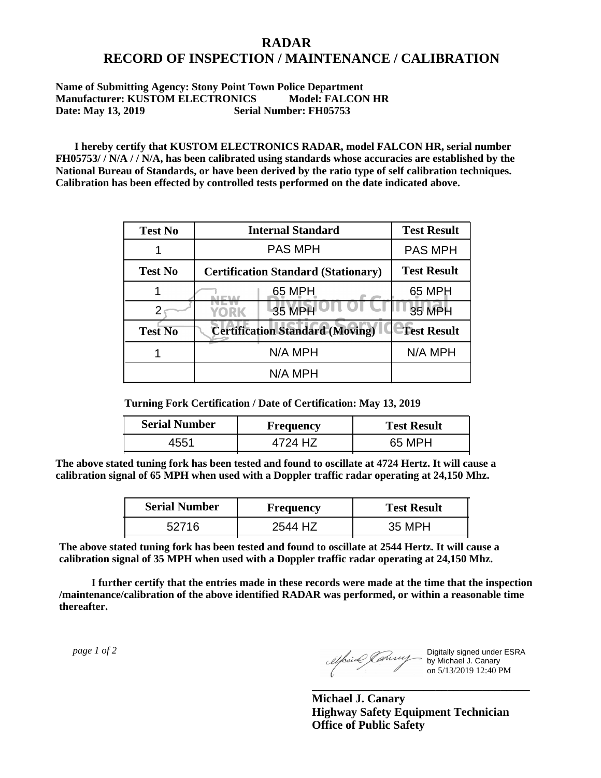## **RADAR RECORD OF INSPECTION / MAINTENANCE / CALIBRATION**

## **Name of Submitting Agency: Stony Point Town Police Department Manufacturer: KUSTOM ELECTRONICS Model: FALCON HR Date: May 13, 2019 Serial Number: FH05753**

 **I hereby certify that KUSTOM ELECTRONICS RADAR, model FALCON HR, serial number FH05753/ / N/A / / N/A, has been calibrated using standards whose accuracies are established by the National Bureau of Standards, or have been derived by the ratio type of self calibration techniques. Calibration has been effected by controlled tests performed on the date indicated above.**

| <b>Test No</b> | <b>Internal Standard</b>                   | <b>Test Result</b> |
|----------------|--------------------------------------------|--------------------|
|                | <b>PAS MPH</b>                             | <b>PAS MPH</b>     |
| <b>Test No</b> | <b>Certification Standard (Stationary)</b> | <b>Test Result</b> |
|                | 65 MPH                                     | 65 MPH             |
|                | 35 MPH<br><b>YORK</b>                      | <b>35 MPH</b>      |
| <b>Test No</b> | <b>Certification Standard (Moving)</b>     | <b>Test Result</b> |
|                | N/A MPH                                    | N/A MPH            |
|                | N/A MPH                                    |                    |

**Turning Fork Certification / Date of Certification: May 13, 2019**

| <b>Serial Number</b> | <b>Frequency</b> | <b>Test Result</b> |
|----------------------|------------------|--------------------|
|                      |                  | 65 MPH             |

**The above stated tuning fork has been tested and found to oscillate at 4724 Hertz. It will cause a calibration signal of 65 MPH when used with a Doppler traffic radar operating at 24,150 Mhz.**

| <b>Serial Number</b> | Frequency | <b>Test Result</b> |
|----------------------|-----------|--------------------|
| 52716                | 2544 H7   | 35 MPH             |

**The above stated tuning fork has been tested and found to oscillate at 2544 Hertz. It will cause a calibration signal of 35 MPH when used with a Doppler traffic radar operating at 24,150 Mhz.**

 **I further certify that the entries made in these records were made at the time that the inspection /maintenance/calibration of the above identified RADAR was performed, or within a reasonable time thereafter.**

 *page 1 of 2* 

Digitally signed under ESRA by Michael J. Canary on 5/13/2019 12:40 PM

**Michael J. Canary Highway Safety Equipment Technician Office of Public Safety**

**\_\_\_\_\_\_\_\_\_\_\_\_\_\_\_\_\_\_\_\_\_\_\_\_\_\_\_\_\_\_\_\_\_\_\_\_\_**